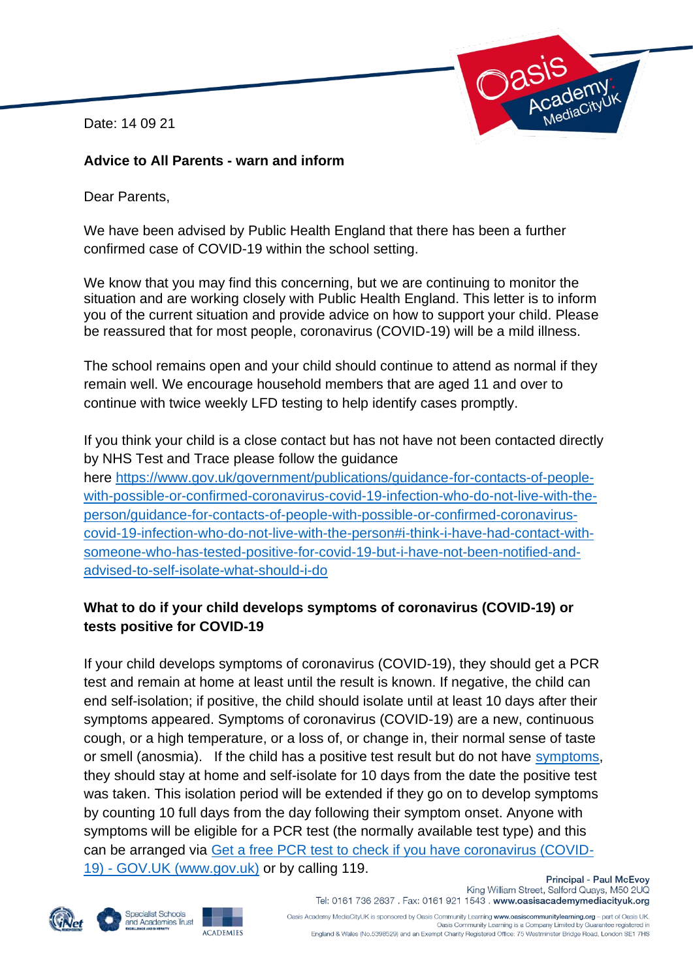Date: 14 09 21



### **Advice to All Parents - warn and inform**

Dear Parents,

We have been advised by Public Health England that there has been a further confirmed case of COVID-19 within the school setting.

We know that you may find this concerning, but we are continuing to monitor the situation and are working closely with Public Health England. This letter is to inform you of the current situation and provide advice on how to support your child. Please be reassured that for most people, coronavirus (COVID-19) will be a mild illness.

The school remains open and your child should continue to attend as normal if they remain well. We encourage household members that are aged 11 and over to continue with twice weekly LFD testing to help identify cases promptly.

If you think your child is a close contact but has not have not been contacted directly by NHS Test and Trace please follow the guidance here [https://www.gov.uk/government/publications/guidance-for-contacts-of-people](https://www.gov.uk/government/publications/guidance-for-contacts-of-people-with-possible-or-confirmed-coronavirus-covid-19-infection-who-do-not-live-with-the-person/guidance-for-contacts-of-people-with-possible-or-confirmed-coronavirus-covid-19-infection-who-do-not-live-with-the-person#i-think-i-have-had-contact-with-someone-who-has-tested-positive-for-covid-19-but-i-have-not-been-notified-and-advised-to-self-isolate-what-should-i-do)[with-possible-or-confirmed-coronavirus-covid-19-infection-who-do-not-live-with-the](https://www.gov.uk/government/publications/guidance-for-contacts-of-people-with-possible-or-confirmed-coronavirus-covid-19-infection-who-do-not-live-with-the-person/guidance-for-contacts-of-people-with-possible-or-confirmed-coronavirus-covid-19-infection-who-do-not-live-with-the-person#i-think-i-have-had-contact-with-someone-who-has-tested-positive-for-covid-19-but-i-have-not-been-notified-and-advised-to-self-isolate-what-should-i-do)[person/guidance-for-contacts-of-people-with-possible-or-confirmed-coronavirus](https://www.gov.uk/government/publications/guidance-for-contacts-of-people-with-possible-or-confirmed-coronavirus-covid-19-infection-who-do-not-live-with-the-person/guidance-for-contacts-of-people-with-possible-or-confirmed-coronavirus-covid-19-infection-who-do-not-live-with-the-person#i-think-i-have-had-contact-with-someone-who-has-tested-positive-for-covid-19-but-i-have-not-been-notified-and-advised-to-self-isolate-what-should-i-do)[covid-19-infection-who-do-not-live-with-the-person#i-think-i-have-had-contact-with](https://www.gov.uk/government/publications/guidance-for-contacts-of-people-with-possible-or-confirmed-coronavirus-covid-19-infection-who-do-not-live-with-the-person/guidance-for-contacts-of-people-with-possible-or-confirmed-coronavirus-covid-19-infection-who-do-not-live-with-the-person#i-think-i-have-had-contact-with-someone-who-has-tested-positive-for-covid-19-but-i-have-not-been-notified-and-advised-to-self-isolate-what-should-i-do)[someone-who-has-tested-positive-for-covid-19-but-i-have-not-been-notified-and](https://www.gov.uk/government/publications/guidance-for-contacts-of-people-with-possible-or-confirmed-coronavirus-covid-19-infection-who-do-not-live-with-the-person/guidance-for-contacts-of-people-with-possible-or-confirmed-coronavirus-covid-19-infection-who-do-not-live-with-the-person#i-think-i-have-had-contact-with-someone-who-has-tested-positive-for-covid-19-but-i-have-not-been-notified-and-advised-to-self-isolate-what-should-i-do)[advised-to-self-isolate-what-should-i-do](https://www.gov.uk/government/publications/guidance-for-contacts-of-people-with-possible-or-confirmed-coronavirus-covid-19-infection-who-do-not-live-with-the-person/guidance-for-contacts-of-people-with-possible-or-confirmed-coronavirus-covid-19-infection-who-do-not-live-with-the-person#i-think-i-have-had-contact-with-someone-who-has-tested-positive-for-covid-19-but-i-have-not-been-notified-and-advised-to-self-isolate-what-should-i-do) 

## **What to do if your child develops symptoms of coronavirus (COVID-19) or tests positive for COVID-19**

If your child develops symptoms of coronavirus (COVID-19), they should get a PCR test and remain at home at least until the result is known. If negative, the child can end self-isolation; if positive, the child should isolate until at least 10 days after their symptoms appeared. Symptoms of coronavirus (COVID-19) are a new, continuous cough, or a high temperature, or a loss of, or change in, their normal sense of taste or smell (anosmia). If the child has a positive test result but do not have [symptoms,](https://www.gov.uk/government/publications/covid-19-stay-at-home-guidance/stay-at-home-guidance-for-households-with-possible-coronavirus-covid-19-infection#symptoms) they should stay at home and self-isolate for 10 days from the date the positive test was taken. This isolation period will be extended if they go on to develop symptoms by counting 10 full days from the day following their symptom onset. Anyone with symptoms will be eligible for a PCR test (the normally available test type) and this can be arranged via [Get a free PCR test to check if you have coronavirus \(COVID-](https://www.gov.uk/get-coronavirus-test)19) - [GOV.UK \(www.gov.uk\)](https://www.gov.uk/get-coronavirus-test) or by calling 119. **Principal - Paul McEvoy** 





King William Street, Salford Quays, M50 2UQ Tel: 0161 736 2637 . Fax: 0161 921 1543 . www.oasisacademymediacityuk.org Oasis Academy MediaCityUK is sponsored by Oasis Community Learning www.oasiscommunitylearning.org - part of Oasis UK. Dasis Community Learning is a Company Limited by Guarantee registered in

England & Wales (No.5398529) and an Exempt Charity Registered Office: 75 Westminster Bridge Road, London SE1 7HS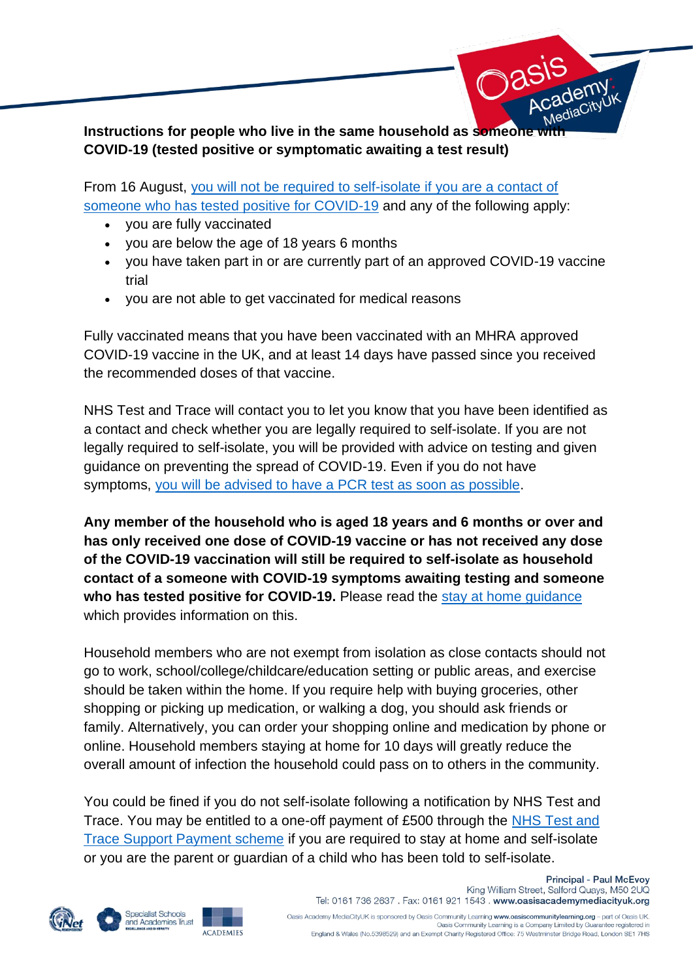

**COVID-19 (tested positive or symptomatic awaiting a test result)**

From 16 August, you will not be required to self-isolate if you are a contact of someone who has tested positive for COVID-19 and any of the following apply:

- you are fully vaccinated
- you are below the age of 18 years 6 months
- you have taken part in or are currently part of an approved COVID-19 vaccine trial
- you are not able to get vaccinated for medical reasons

Fully vaccinated means that you have been vaccinated with an MHRA approved COVID-19 vaccine in the UK, and at least 14 days have passed since you received the recommended doses of that vaccine.

NHS Test and Trace will contact you to let you know that you have been identified as a contact and check whether you are legally required to self-isolate. If you are not legally required to self-isolate, you will be provided with advice on testing and given guidance on preventing the spread of COVID-19. Even if you do not have symptoms, you will be advised to have a PCR test as soon as possible.

**Any member of the household who is aged 18 years and 6 months or over and has only received one dose of COVID-19 vaccine or has not received any dose of the COVID-19 vaccination will still be required to self-isolate as household contact of a someone with COVID-19 symptoms awaiting testing and someone who has tested positive for COVID-19.** Please read the stay at home guidance which provides information on this.

Household members who are not exempt from isolation as close contacts should not go to work, school/college/childcare/education setting or public areas, and exercise should be taken within the home. If you require help with buying groceries, other shopping or picking up medication, or walking a dog, you should ask friends or family. Alternatively, you can order your shopping online and medication by phone or online. Household members staying at home for 10 days will greatly reduce the overall amount of infection the household could pass on to others in the community.

You could be fined if you do not self-isolate following a notification by NHS Test and Trace. You may be entitled to a one-off payment of £500 through the NHS Test and Trace Support Payment scheme if you are required to stay at home and self-isolate or you are the parent or guardian of a child who has been told to self-isolate.







**Principal - Paul McEvoy** King William Street, Salford Quays, M50 2UQ Tel: 0161 736 2637 . Fax: 0161 921 1543 . www.oasisacademymediacityuk.org Oasis Academy MediaCityUK is sponsored by Oasis Community Learning www.oasiscommunitylearning.org - part of Oasis UK. Dasis Community Learning is a Company Limited by Guarantee registered in

England & Wales (No.5398529) and an Exempt Charity Registered Office: 75 Westminster Bridge Road, London SE1 7HS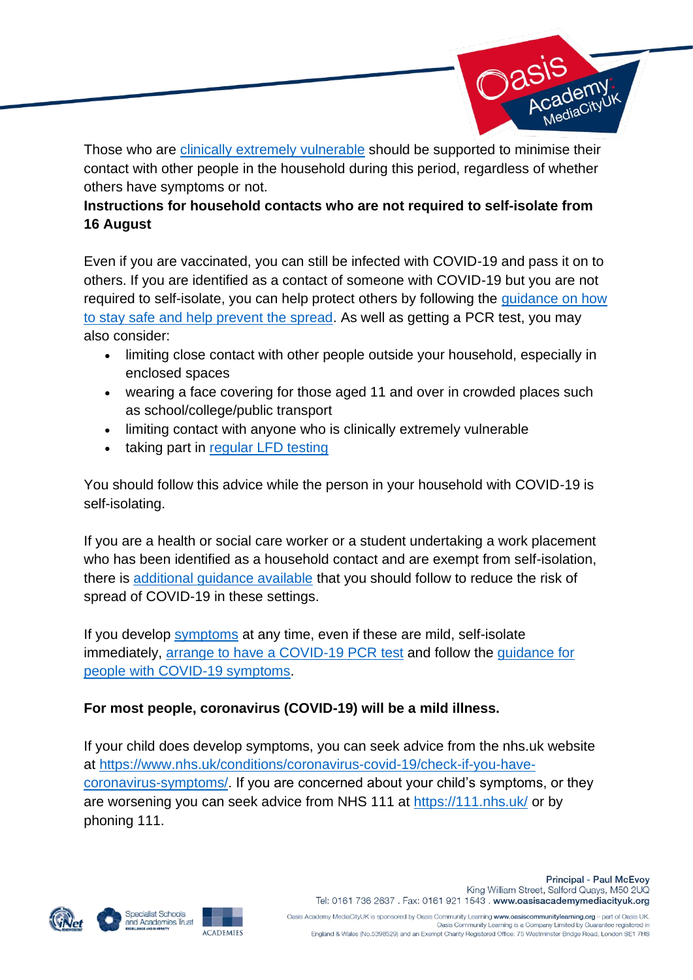

Those who are clinically extremely vulnerable should be supported to minimise their contact with other people in the household during this period, regardless of whether others have symptoms or not.

## **Instructions for household contacts who are not required to self-isolate from 16 August**

Even if you are vaccinated, you can still be infected with COVID-19 and pass it on to others. If you are identified as a contact of someone with COVID-19 but you are not required to self-isolate, you can help protect others by following the guidance on how to stay safe and help prevent the spread. As well as getting a PCR test, you may also consider:

- limiting close contact with other people outside your household, especially in enclosed spaces
- wearing a face covering for those aged 11 and over in crowded places such as school/college/public transport
- limiting contact with anyone who is clinically extremely vulnerable
- taking part in regular LFD testing

You should follow this advice while the person in your household with COVID-19 is self-isolating.

If you are a health or social care worker or a student undertaking a work placement who has been identified as a household contact and are exempt from self-isolation, there is additional guidance available that you should follow to reduce the risk of spread of COVID-19 in these settings.

If you develop symptoms at any time, even if these are mild, self-isolate immediately, arrange to have a COVID-19 PCR test and follow the guidance for people with COVID-19 symptoms.

# **For most people, coronavirus (COVID-19) will be a mild illness.**

If your child does develop symptoms, you can seek advice from the nhs.uk website at https://www.nhs.uk/conditions/coronavirus-covid-19/check-if-you-havecoronavirus-symptoms/. If you are concerned about your child's symptoms, or they are worsening you can seek advice from NHS 111 at https://111.nhs.uk/ or by phoning 111.







Oasis Academy MediaCityUK is sponsored by Oasis Community Learning www.oasiscommunitylearning.org - part of Oasis UK.<br>Oasis Community Learning is a Company Limited by Guarantee registered in England & Wales (No.5398529) and an Exempt Charity Registered Office: 75 Westminster Bridge Road, London SE1 7HS